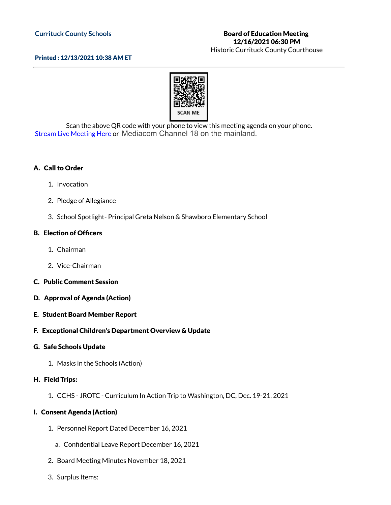#### **Currituck County Schools**

# Board of Education Meeting 12/16/2021 06:30 PM

Historic Currituck County Courthouse

#### Printed : 12/13/2021 10:38 AM ET



Scan the above QR code with your phone to view this meeting agenda on your phone. Stream Live [Meeting](http://currituckcountync.iqm2.com/Citizens/default.aspx) Here or Mediacom Channel 18 on the mainland.

### A. Call to Order

- 1. Invocation
- 2. Pledge of Allegiance
- 3. School Spotlight- Principal Greta Nelson & Shawboro Elementary School

#### B. Election of Officers

- 1. Chairman
- 2. Vice-Chairman
- C. Public Comment Session
- D. Approval of Agenda (Action)
- E. Student Board Member Report

#### F. Exceptional Children's Department Overview & Update

#### G. Safe Schools Update

1. Masks in the Schools (Action)

#### H. Field Trips:

1. CCHS - JROTC - Curriculum In Action Trip to Washington, DC, Dec. 19-21, 2021

#### I. Consent Agenda (Action)

- 1. Personnel Report Dated December 16, 2021
	- a. Confidential Leave Report December 16, 2021
- 2. Board Meeting Minutes November 18, 2021
- 3. Surplus Items: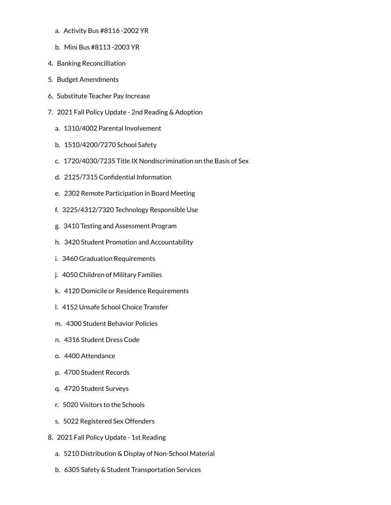- a. Activity Bus #8116 -2002 YR
- b. Mini Bus #8113 -2003 YR
- 4. Banking Reconcilliation
- 5. Budget Amendments
- 6. Substitute Teacher Pay Increase
- 7. 2021 Fall Policy Update 2nd Reading & Adoption
	- a. 1310/4002 Parental Involvement
	- b. 1510/4200/7270 School Safety
	- c. 1720/4030/7235 Title IX Nondiscrimination on the Basis of Sex
	- d. 2125/7315 Confidential Information
	- e. 2302 Remote Participation in Board Meeting
	- f. 3225/4312/7320 Technology Responsible Use
	- g. 3410 Testing and Assessment Program
	- h. 3420 Student Promotion and Accountability
	- i. 3460 Graduation Requirements
	- j. 4050 Children of Military Families
	- k. 4120 Domicile or Residence Requirements
	- l. 4152 Unsafe School Choice Transfer
	- m. 4300 Student Behavior Policies
	- n. 4316 Student Dress Code
	- o. 4400 Attendance
	- p. 4700 Student Records
	- q. 4720 Student Surveys
	- r. 5020 Visitors to the Schools
	- s. 5022 Registered Sex Offenders
- 8. 2021 Fall Policy Update 1st Reading
	- a. 5210 Distribution & Display of Non-School Material
	- b. 6305 Safety & Student Transportation Services